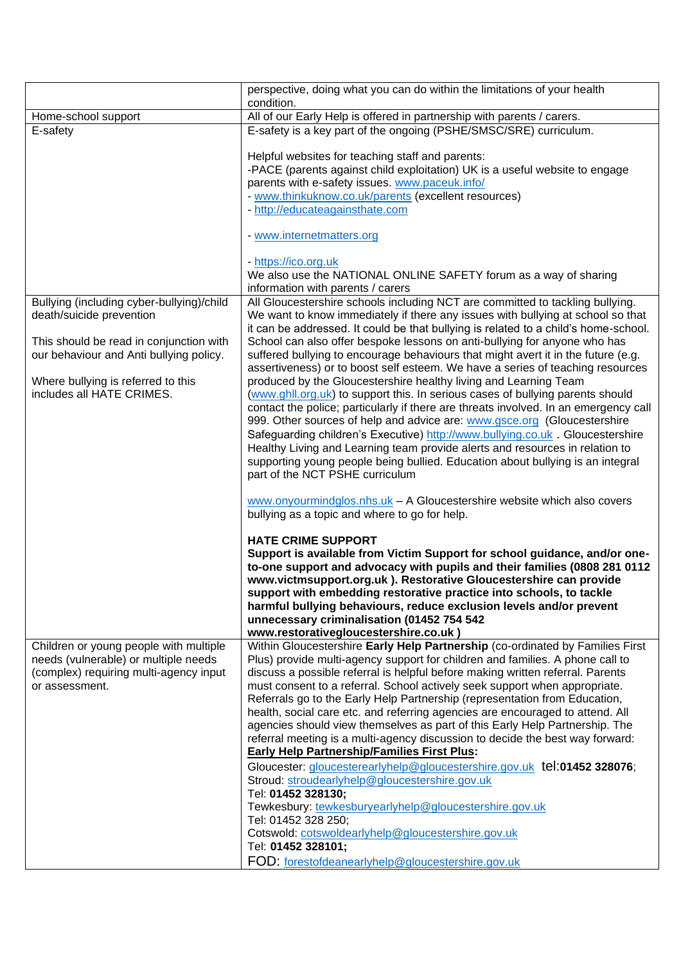| perspective, doing what you can do within the limitations of your health<br>condition.                                                                                                                                                                                                                                                                                                                                                                                                                                                                                                                                                                                                                                                                                                                                                                                                                                                                                                                                                                                                    |
|-------------------------------------------------------------------------------------------------------------------------------------------------------------------------------------------------------------------------------------------------------------------------------------------------------------------------------------------------------------------------------------------------------------------------------------------------------------------------------------------------------------------------------------------------------------------------------------------------------------------------------------------------------------------------------------------------------------------------------------------------------------------------------------------------------------------------------------------------------------------------------------------------------------------------------------------------------------------------------------------------------------------------------------------------------------------------------------------|
| All of our Early Help is offered in partnership with parents / carers.                                                                                                                                                                                                                                                                                                                                                                                                                                                                                                                                                                                                                                                                                                                                                                                                                                                                                                                                                                                                                    |
| E-safety is a key part of the ongoing (PSHE/SMSC/SRE) curriculum.                                                                                                                                                                                                                                                                                                                                                                                                                                                                                                                                                                                                                                                                                                                                                                                                                                                                                                                                                                                                                         |
| Helpful websites for teaching staff and parents:<br>-PACE (parents against child exploitation) UK is a useful website to engage<br>parents with e-safety issues. www.paceuk.info/<br>- www.thinkuknow.co.uk/parents (excellent resources)<br>- http://educateagainsthate.com<br>- www.internetmatters.org                                                                                                                                                                                                                                                                                                                                                                                                                                                                                                                                                                                                                                                                                                                                                                                 |
| - https://ico.org.uk<br>We also use the NATIONAL ONLINE SAFETY forum as a way of sharing<br>information with parents / carers                                                                                                                                                                                                                                                                                                                                                                                                                                                                                                                                                                                                                                                                                                                                                                                                                                                                                                                                                             |
| All Gloucestershire schools including NCT are committed to tackling bullying.<br>We want to know immediately if there any issues with bullying at school so that<br>it can be addressed. It could be that bullying is related to a child's home-school.<br>School can also offer bespoke lessons on anti-bullying for anyone who has                                                                                                                                                                                                                                                                                                                                                                                                                                                                                                                                                                                                                                                                                                                                                      |
| suffered bullying to encourage behaviours that might avert it in the future (e.g.<br>assertiveness) or to boost self esteem. We have a series of teaching resources<br>produced by the Gloucestershire healthy living and Learning Team<br>(www.ghll.org.uk) to support this. In serious cases of bullying parents should<br>contact the police; particularly if there are threats involved. In an emergency call<br>999. Other sources of help and advice are: www.gsce.org (Gloucestershire<br>Safeguarding children's Executive) http://www.bullying.co.uk. Gloucestershire<br>Healthy Living and Learning team provide alerts and resources in relation to<br>supporting young people being bullied. Education about bullying is an integral<br>part of the NCT PSHE curriculum                                                                                                                                                                                                                                                                                                       |
| www.onyourmindglos.nhs.uk - A Gloucestershire website which also covers<br>bullying as a topic and where to go for help.                                                                                                                                                                                                                                                                                                                                                                                                                                                                                                                                                                                                                                                                                                                                                                                                                                                                                                                                                                  |
| <b>HATE CRIME SUPPORT</b><br>Support is available from Victim Support for school guidance, and/or one-<br>to-one support and advocacy with pupils and their families (0808 281 0112<br>www.victmsupport.org.uk ). Restorative Gloucestershire can provide<br>support with embedding restorative practice into schools, to tackle<br>harmful bullying behaviours, reduce exclusion levels and/or prevent<br>unnecessary criminalisation (01452 754 542<br>www.restorativegloucestershire.co.uk)                                                                                                                                                                                                                                                                                                                                                                                                                                                                                                                                                                                            |
| Within Gloucestershire Early Help Partnership (co-ordinated by Families First<br>Plus) provide multi-agency support for children and families. A phone call to<br>discuss a possible referral is helpful before making written referral. Parents<br>must consent to a referral. School actively seek support when appropriate.<br>Referrals go to the Early Help Partnership (representation from Education,<br>health, social care etc. and referring agencies are encouraged to attend. All<br>agencies should view themselves as part of this Early Help Partnership. The<br>referral meeting is a multi-agency discussion to decide the best way forward:<br><b>Early Help Partnership/Families First Plus:</b><br>Gloucester: gloucesterearlyhelp@gloucestershire.gov.uk tel:01452 328076;<br>Stroud: stroudearlyhelp@gloucestershire.gov.uk<br>Tel: 01452 328130;<br>Tewkesbury: tewkesburyearlyhelp@gloucestershire.gov.uk<br>Tel: 01452 328 250;<br>Cotswold: cotswoldearlyhelp@gloucestershire.gov.uk<br>Tel: 01452 328101;<br>FOD: forestofdeanearlyhelp@gloucestershire.gov.uk |
|                                                                                                                                                                                                                                                                                                                                                                                                                                                                                                                                                                                                                                                                                                                                                                                                                                                                                                                                                                                                                                                                                           |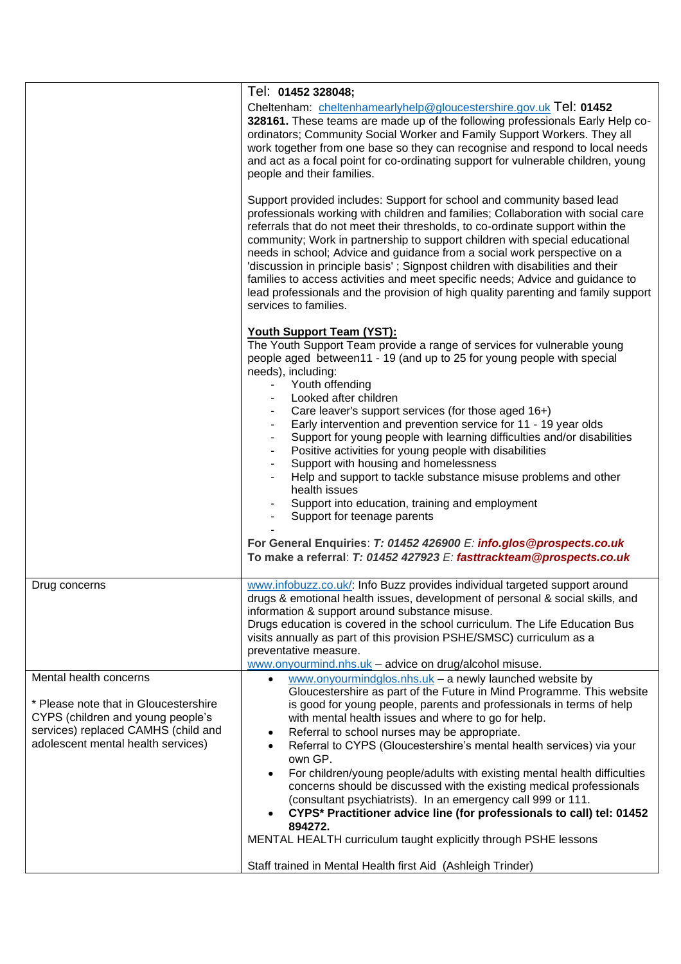|                                                                                                                                                                                   | Tel: 01452 328048;<br>Cheltenham: cheltenhamearlyhelp@gloucestershire.gov.uk Tel: 01452<br>328161. These teams are made up of the following professionals Early Help co-<br>ordinators; Community Social Worker and Family Support Workers. They all<br>work together from one base so they can recognise and respond to local needs<br>and act as a focal point for co-ordinating support for vulnerable children, young<br>people and their families.<br>Support provided includes: Support for school and community based lead<br>professionals working with children and families; Collaboration with social care<br>referrals that do not meet their thresholds, to co-ordinate support within the<br>community; Work in partnership to support children with special educational<br>needs in school; Advice and guidance from a social work perspective on a<br>'discussion in principle basis'; Signpost children with disabilities and their<br>families to access activities and meet specific needs; Advice and guidance to<br>lead professionals and the provision of high quality parenting and family support<br>services to families.<br><b>Youth Support Team (YST):</b><br>The Youth Support Team provide a range of services for vulnerable young |
|-----------------------------------------------------------------------------------------------------------------------------------------------------------------------------------|--------------------------------------------------------------------------------------------------------------------------------------------------------------------------------------------------------------------------------------------------------------------------------------------------------------------------------------------------------------------------------------------------------------------------------------------------------------------------------------------------------------------------------------------------------------------------------------------------------------------------------------------------------------------------------------------------------------------------------------------------------------------------------------------------------------------------------------------------------------------------------------------------------------------------------------------------------------------------------------------------------------------------------------------------------------------------------------------------------------------------------------------------------------------------------------------------------------------------------------------------------------------|
|                                                                                                                                                                                   | people aged between11 - 19 (and up to 25 for young people with special<br>needs), including:<br>Youth offending<br>$\sim$<br>Looked after children<br>Care leaver's support services (for those aged 16+)<br>Early intervention and prevention service for 11 - 19 year olds<br>Support for young people with learning difficulties and/or disabilities<br>$\blacksquare$<br>Positive activities for young people with disabilities<br>$\blacksquare$<br>Support with housing and homelessness<br>$\blacksquare$<br>Help and support to tackle substance misuse problems and other<br>٠<br>health issues<br>Support into education, training and employment<br>Support for teenage parents<br>For General Enquiries: T: 01452 426900 E: info.glos@prospects.co.uk<br>To make a referral: T: 01452 427923 E: fasttrackteam@prospects.co.uk                                                                                                                                                                                                                                                                                                                                                                                                                          |
| Drug concerns                                                                                                                                                                     | www.infobuzz.co.uk/: Info Buzz provides individual targeted support around<br>drugs & emotional health issues, development of personal & social skills, and<br>information & support around substance misuse.<br>Drugs education is covered in the school curriculum. The Life Education Bus<br>visits annually as part of this provision PSHE/SMSC) curriculum as a<br>preventative measure.<br>www.onyourmind.nhs.uk - advice on drug/alcohol misuse.                                                                                                                                                                                                                                                                                                                                                                                                                                                                                                                                                                                                                                                                                                                                                                                                            |
| Mental health concerns<br>* Please note that in Gloucestershire<br>CYPS (children and young people's<br>services) replaced CAMHS (child and<br>adolescent mental health services) | www.onyourmindglos.nhs.uk - a newly launched website by<br>Gloucestershire as part of the Future in Mind Programme. This website<br>is good for young people, parents and professionals in terms of help<br>with mental health issues and where to go for help.<br>Referral to school nurses may be appropriate.<br>$\bullet$<br>Referral to CYPS (Gloucestershire's mental health services) via your<br>$\bullet$<br>own GP.<br>For children/young people/adults with existing mental health difficulties<br>$\bullet$<br>concerns should be discussed with the existing medical professionals<br>(consultant psychiatrists). In an emergency call 999 or 111.<br>CYPS* Practitioner advice line (for professionals to call) tel: 01452<br>894272.<br>MENTAL HEALTH curriculum taught explicitly through PSHE lessons<br>Staff trained in Mental Health first Aid (Ashleigh Trinder)                                                                                                                                                                                                                                                                                                                                                                              |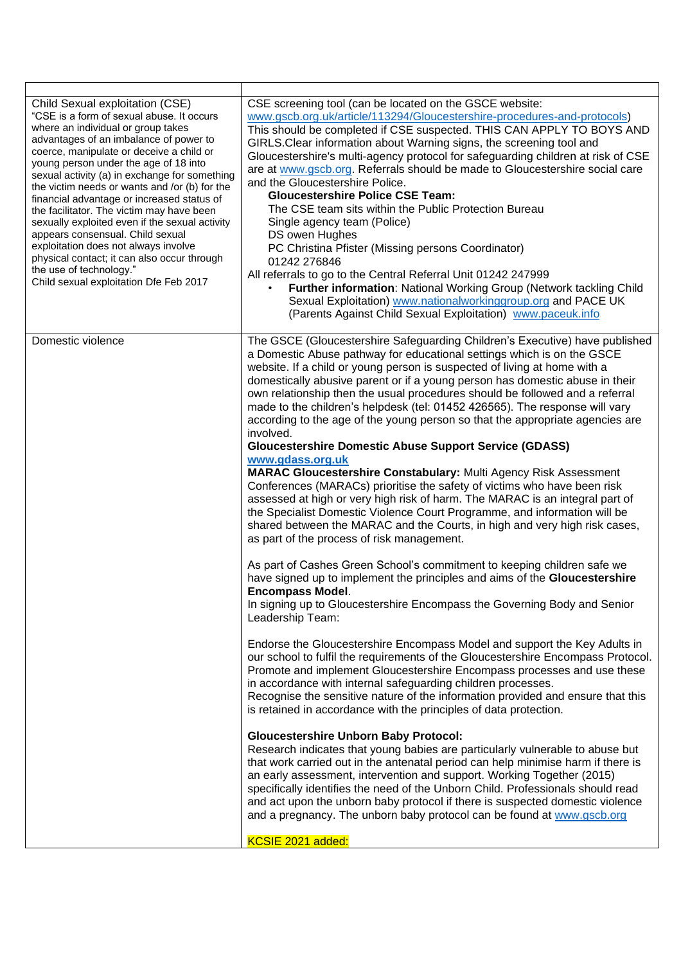| Child Sexual exploitation (CSE)<br>"CSE is a form of sexual abuse. It occurs<br>where an individual or group takes<br>advantages of an imbalance of power to<br>coerce, manipulate or deceive a child or<br>young person under the age of 18 into<br>sexual activity (a) in exchange for something<br>the victim needs or wants and /or (b) for the<br>financial advantage or increased status of<br>the facilitator. The victim may have been<br>sexually exploited even if the sexual activity<br>appears consensual. Child sexual<br>exploitation does not always involve<br>physical contact; it can also occur through<br>the use of technology."<br>Child sexual exploitation Dfe Feb 2017 | CSE screening tool (can be located on the GSCE website:<br>www.gscb.org.uk/article/113294/Gloucestershire-procedures-and-protocols)<br>This should be completed if CSE suspected. THIS CAN APPLY TO BOYS AND<br>GIRLS. Clear information about Warning signs, the screening tool and<br>Gloucestershire's multi-agency protocol for safeguarding children at risk of CSE<br>are at www.gscb.org. Referrals should be made to Gloucestershire social care<br>and the Gloucestershire Police.<br><b>Gloucestershire Police CSE Team:</b><br>The CSE team sits within the Public Protection Bureau<br>Single agency team (Police)<br>DS owen Hughes<br>PC Christina Pfister (Missing persons Coordinator)<br>01242 276846<br>All referrals to go to the Central Referral Unit 01242 247999<br>Further information: National Working Group (Network tackling Child<br>Sexual Exploitation) www.nationalworkinggroup.org and PACE UK<br>(Parents Against Child Sexual Exploitation) www.paceuk.info                                                                                                                                                                                                                                                                                                                                                                                                                                                                                                                                                                                                                                                                                                                                                                                                                                                                                                                                                                                                                                                                                                                                                                                                                                                                                                                                                                                                                                          |
|--------------------------------------------------------------------------------------------------------------------------------------------------------------------------------------------------------------------------------------------------------------------------------------------------------------------------------------------------------------------------------------------------------------------------------------------------------------------------------------------------------------------------------------------------------------------------------------------------------------------------------------------------------------------------------------------------|-----------------------------------------------------------------------------------------------------------------------------------------------------------------------------------------------------------------------------------------------------------------------------------------------------------------------------------------------------------------------------------------------------------------------------------------------------------------------------------------------------------------------------------------------------------------------------------------------------------------------------------------------------------------------------------------------------------------------------------------------------------------------------------------------------------------------------------------------------------------------------------------------------------------------------------------------------------------------------------------------------------------------------------------------------------------------------------------------------------------------------------------------------------------------------------------------------------------------------------------------------------------------------------------------------------------------------------------------------------------------------------------------------------------------------------------------------------------------------------------------------------------------------------------------------------------------------------------------------------------------------------------------------------------------------------------------------------------------------------------------------------------------------------------------------------------------------------------------------------------------------------------------------------------------------------------------------------------------------------------------------------------------------------------------------------------------------------------------------------------------------------------------------------------------------------------------------------------------------------------------------------------------------------------------------------------------------------------------------------------------------------------------------------------------------------------|
| Domestic violence                                                                                                                                                                                                                                                                                                                                                                                                                                                                                                                                                                                                                                                                                | The GSCE (Gloucestershire Safeguarding Children's Executive) have published<br>a Domestic Abuse pathway for educational settings which is on the GSCE<br>website. If a child or young person is suspected of living at home with a<br>domestically abusive parent or if a young person has domestic abuse in their<br>own relationship then the usual procedures should be followed and a referral<br>made to the children's helpdesk (tel: 01452 426565). The response will vary<br>according to the age of the young person so that the appropriate agencies are<br>involved.<br><b>Gloucestershire Domestic Abuse Support Service (GDASS)</b><br>www.gdass.org.uk<br><b>MARAC Gloucestershire Constabulary: Multi Agency Risk Assessment</b><br>Conferences (MARACs) prioritise the safety of victims who have been risk<br>assessed at high or very high risk of harm. The MARAC is an integral part of<br>the Specialist Domestic Violence Court Programme, and information will be<br>shared between the MARAC and the Courts, in high and very high risk cases,<br>as part of the process of risk management.<br>As part of Cashes Green School's commitment to keeping children safe we<br>have signed up to implement the principles and aims of the Gloucestershire<br>Encompass Model.<br>In signing up to Gloucestershire Encompass the Governing Body and Senior<br>Leadership Team:<br>Endorse the Gloucestershire Encompass Model and support the Key Adults in<br>our school to fulfil the requirements of the Gloucestershire Encompass Protocol.<br>Promote and implement Gloucestershire Encompass processes and use these<br>in accordance with internal safeguarding children processes.<br>Recognise the sensitive nature of the information provided and ensure that this<br>is retained in accordance with the principles of data protection.<br><b>Gloucestershire Unborn Baby Protocol:</b><br>Research indicates that young babies are particularly vulnerable to abuse but<br>that work carried out in the antenatal period can help minimise harm if there is<br>an early assessment, intervention and support. Working Together (2015)<br>specifically identifies the need of the Unborn Child. Professionals should read<br>and act upon the unborn baby protocol if there is suspected domestic violence<br>and a pregnancy. The unborn baby protocol can be found at www.gscb.org<br>KCSIE 2021 added: |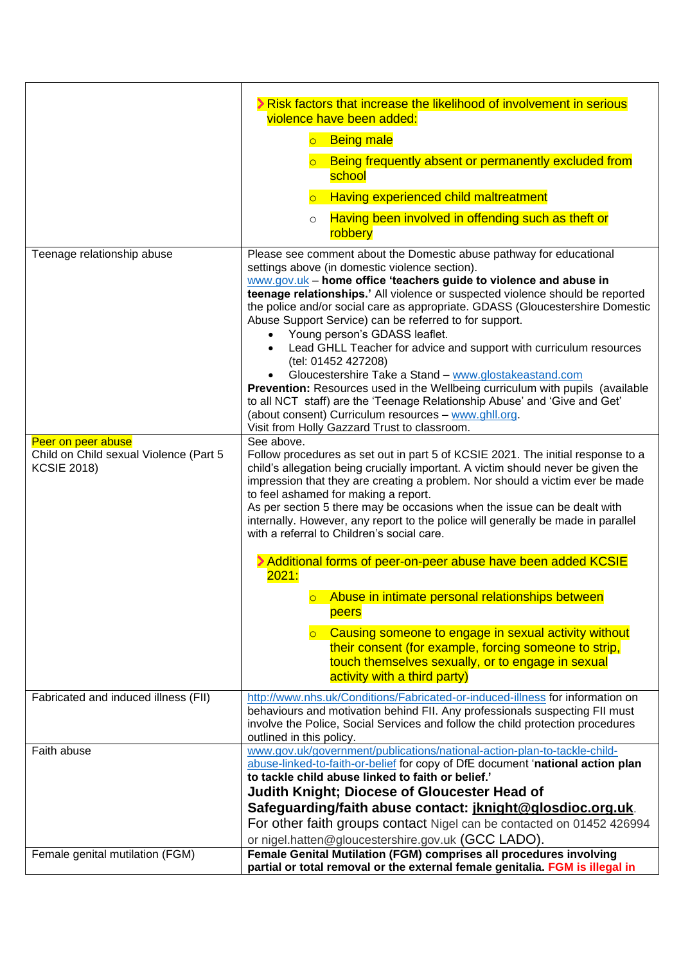|                                        | Risk factors that increase the likelihood of involvement in serious                                                                                               |
|----------------------------------------|-------------------------------------------------------------------------------------------------------------------------------------------------------------------|
|                                        | violence have been added:                                                                                                                                         |
|                                        | <b>Being male</b><br>$\overline{\bigcirc}$                                                                                                                        |
|                                        | Being frequently absent or permanently excluded from<br>school                                                                                                    |
|                                        | Having experienced child maltreatment<br>$\overline{\circ}$                                                                                                       |
|                                        |                                                                                                                                                                   |
|                                        | Having been involved in offending such as theft or<br>$\circ$<br>robbery                                                                                          |
| Teenage relationship abuse             | Please see comment about the Domestic abuse pathway for educational                                                                                               |
|                                        | settings above (in domestic violence section).                                                                                                                    |
|                                        | www.gov.uk - home office 'teachers guide to violence and abuse in<br>teenage relationships.' All violence or suspected violence should be reported                |
|                                        | the police and/or social care as appropriate. GDASS (Gloucestershire Domestic                                                                                     |
|                                        | Abuse Support Service) can be referred to for support.                                                                                                            |
|                                        | • Young person's GDASS leaflet.                                                                                                                                   |
|                                        | Lead GHLL Teacher for advice and support with curriculum resources                                                                                                |
|                                        | (tel: 01452 427208)                                                                                                                                               |
|                                        | Gloucestershire Take a Stand - www.glostakeastand.com<br>Prevention: Resources used in the Wellbeing curriculum with pupils (available                            |
|                                        | to all NCT staff) are the 'Teenage Relationship Abuse' and 'Give and Get'                                                                                         |
|                                        | (about consent) Curriculum resources - www.ghll.org.                                                                                                              |
|                                        | Visit from Holly Gazzard Trust to classroom.                                                                                                                      |
| Peer on peer abuse                     | See above.                                                                                                                                                        |
| Child on Child sexual Violence (Part 5 | Follow procedures as set out in part 5 of KCSIE 2021. The initial response to a                                                                                   |
| <b>KCSIE 2018)</b>                     | child's allegation being crucially important. A victim should never be given the<br>impression that they are creating a problem. Nor should a victim ever be made |
|                                        | to feel ashamed for making a report.                                                                                                                              |
|                                        | As per section 5 there may be occasions when the issue can be dealt with                                                                                          |
|                                        | internally. However, any report to the police will generally be made in parallel                                                                                  |
|                                        | with a referral to Children's social care.                                                                                                                        |
|                                        | > Additional forms of peer-on-peer abuse have been added KCSIE                                                                                                    |
|                                        | 2021:                                                                                                                                                             |
|                                        | o Abuse in intimate personal relationships between                                                                                                                |
|                                        | peers                                                                                                                                                             |
|                                        |                                                                                                                                                                   |
|                                        | Causing someone to engage in sexual activity without<br>their consent (for example, forcing someone to strip,                                                     |
|                                        | touch themselves sexually, or to engage in sexual                                                                                                                 |
|                                        | activity with a third party)                                                                                                                                      |
|                                        |                                                                                                                                                                   |
| Fabricated and induced illness (FII)   | http://www.nhs.uk/Conditions/Fabricated-or-induced-illness for information on                                                                                     |
|                                        | behaviours and motivation behind FII. Any professionals suspecting FII must<br>involve the Police, Social Services and follow the child protection procedures     |
|                                        | outlined in this policy.                                                                                                                                          |
| Faith abuse                            | www.gov.uk/government/publications/national-action-plan-to-tackle-child-                                                                                          |
|                                        | abuse-linked-to-faith-or-belief for copy of DfE document 'national action plan                                                                                    |
|                                        | to tackle child abuse linked to faith or belief.'                                                                                                                 |
|                                        | <b>Judith Knight; Diocese of Gloucester Head of</b>                                                                                                               |
|                                        | Safeguarding/faith abuse contact: jknight@glosdioc.org.uk.                                                                                                        |
|                                        | For other faith groups contact Nigel can be contacted on 01452 426994                                                                                             |
|                                        | or nigel.hatten@gloucestershire.gov.uk (GCC LADO).                                                                                                                |
| Female genital mutilation (FGM)        | Female Genital Mutilation (FGM) comprises all procedures involving                                                                                                |
|                                        | partial or total removal or the external female genitalia. FGM is illegal in                                                                                      |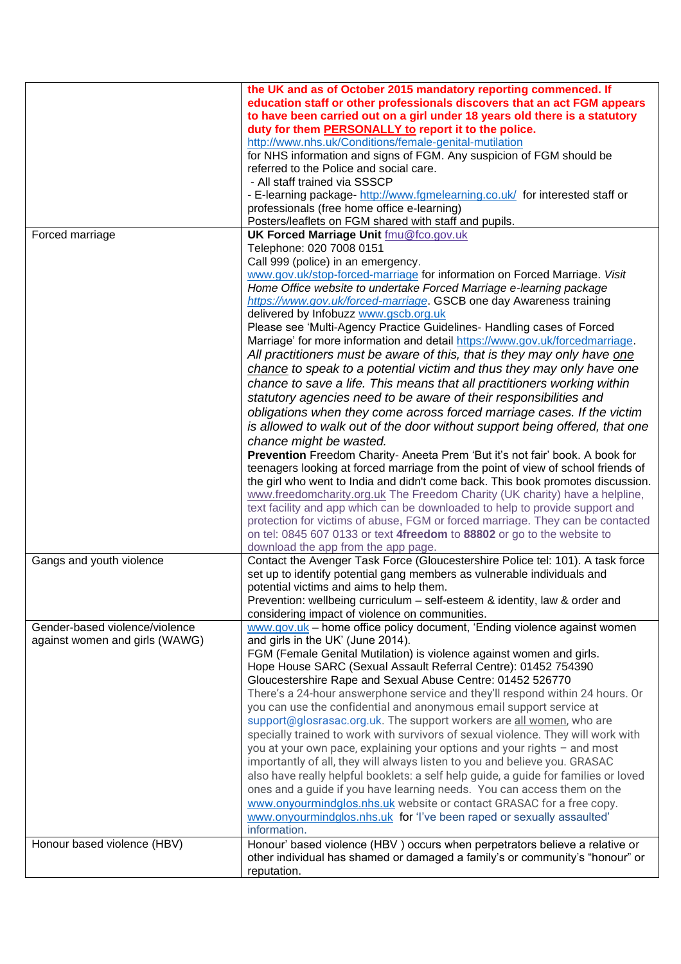|                                                                  | the UK and as of October 2015 mandatory reporting commenced. If<br>education staff or other professionals discovers that an act FGM appears<br>to have been carried out on a girl under 18 years old there is a statutory<br>duty for them PERSONALLY to report it to the police.<br>http://www.nhs.uk/Conditions/female-genital-mutilation<br>for NHS information and signs of FGM. Any suspicion of FGM should be<br>referred to the Police and social care.<br>- All staff trained via SSSCP<br>- E-learning package- http://www.fgmelearning.co.uk/ for interested staff or<br>professionals (free home office e-learning)                                                                                                                                                                                                                                                                                                                                                                                                                                                                                                         |
|------------------------------------------------------------------|----------------------------------------------------------------------------------------------------------------------------------------------------------------------------------------------------------------------------------------------------------------------------------------------------------------------------------------------------------------------------------------------------------------------------------------------------------------------------------------------------------------------------------------------------------------------------------------------------------------------------------------------------------------------------------------------------------------------------------------------------------------------------------------------------------------------------------------------------------------------------------------------------------------------------------------------------------------------------------------------------------------------------------------------------------------------------------------------------------------------------------------|
|                                                                  | Posters/leaflets on FGM shared with staff and pupils.                                                                                                                                                                                                                                                                                                                                                                                                                                                                                                                                                                                                                                                                                                                                                                                                                                                                                                                                                                                                                                                                                  |
| Forced marriage                                                  | <b>UK Forced Marriage Unit fmu@fco.gov.uk</b><br>Telephone: 020 7008 0151<br>Call 999 (police) in an emergency.<br>www.gov.uk/stop-forced-marriage for information on Forced Marriage. Visit<br>Home Office website to undertake Forced Marriage e-learning package<br>https://www.gov.uk/forced-marriage. GSCB one day Awareness training<br>delivered by Infobuzz www.gscb.org.uk                                                                                                                                                                                                                                                                                                                                                                                                                                                                                                                                                                                                                                                                                                                                                    |
|                                                                  | Please see 'Multi-Agency Practice Guidelines- Handling cases of Forced<br>Marriage' for more information and detail https://www.gov.uk/forcedmarriage.<br>All practitioners must be aware of this, that is they may only have one<br>chance to speak to a potential victim and thus they may only have one<br>chance to save a life. This means that all practitioners working within<br>statutory agencies need to be aware of their responsibilities and<br>obligations when they come across forced marriage cases. If the victim<br>is allowed to walk out of the door without support being offered, that one<br>chance might be wasted.<br>Prevention Freedom Charity- Aneeta Prem 'But it's not fair' book. A book for<br>teenagers looking at forced marriage from the point of view of school friends of<br>the girl who went to India and didn't come back. This book promotes discussion.<br>www.freedomcharity.org.uk The Freedom Charity (UK charity) have a helpline,                                                                                                                                                    |
|                                                                  | text facility and app which can be downloaded to help to provide support and<br>protection for victims of abuse, FGM or forced marriage. They can be contacted<br>on tel: 0845 607 0133 or text 4freedom to 88802 or go to the website to<br>download the app from the app page.                                                                                                                                                                                                                                                                                                                                                                                                                                                                                                                                                                                                                                                                                                                                                                                                                                                       |
| Gangs and youth violence                                         | Contact the Avenger Task Force (Gloucestershire Police tel: 101). A task force<br>set up to identify potential gang members as vulnerable individuals and<br>potential victims and aims to help them.<br>Prevention: wellbeing curriculum – self-esteem & identity, law & order and<br>considering impact of violence on communities.                                                                                                                                                                                                                                                                                                                                                                                                                                                                                                                                                                                                                                                                                                                                                                                                  |
| Gender-based violence/violence<br>against women and girls (WAWG) | www.gov.uk - home office policy document, 'Ending violence against women<br>and girls in the UK' (June 2014).<br>FGM (Female Genital Mutilation) is violence against women and girls.<br>Hope House SARC (Sexual Assault Referral Centre): 01452 754390<br>Gloucestershire Rape and Sexual Abuse Centre: 01452 526770<br>There's a 24-hour answerphone service and they'll respond within 24 hours. Or<br>you can use the confidential and anonymous email support service at<br>support@glosrasac.org.uk. The support workers are all women, who are<br>specially trained to work with survivors of sexual violence. They will work with<br>you at your own pace, explaining your options and your rights - and most<br>importantly of all, they will always listen to you and believe you. GRASAC<br>also have really helpful booklets: a self help guide, a guide for families or loved<br>ones and a guide if you have learning needs. You can access them on the<br>www.onyourmindglos.nhs.uk website or contact GRASAC for a free copy.<br>www.onyourmindglos.nhs.uk for 'I've been raped or sexually assaulted'<br>information. |
| Honour based violence (HBV)                                      | Honour' based violence (HBV) occurs when perpetrators believe a relative or<br>other individual has shamed or damaged a family's or community's "honour" or<br>reputation.                                                                                                                                                                                                                                                                                                                                                                                                                                                                                                                                                                                                                                                                                                                                                                                                                                                                                                                                                             |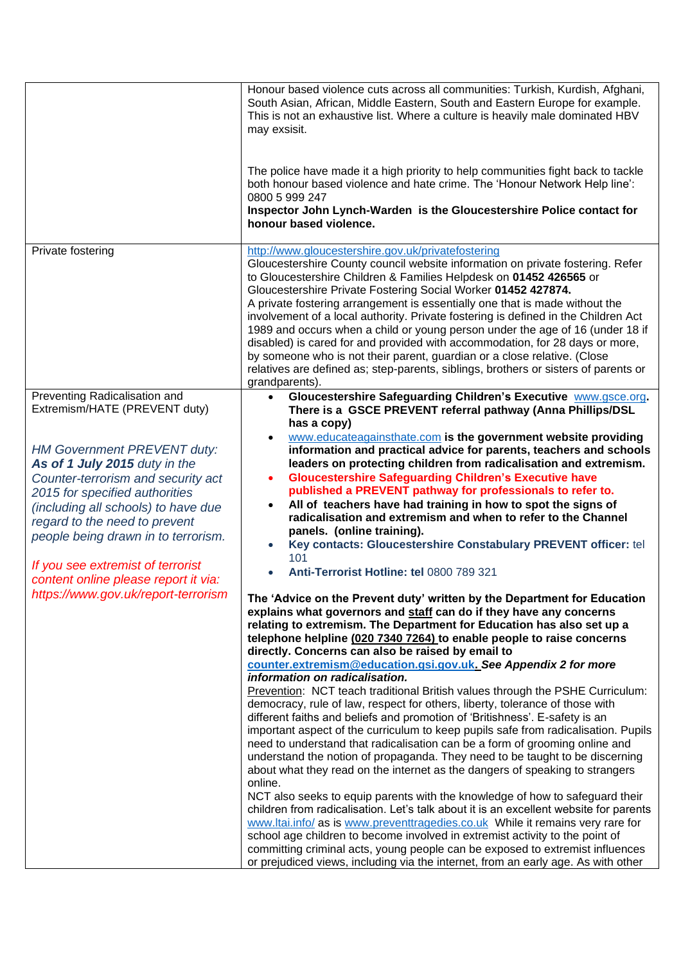|                                                                                                                                                                                                                                                                                                                                                                                | Honour based violence cuts across all communities: Turkish, Kurdish, Afghani,<br>South Asian, African, Middle Eastern, South and Eastern Europe for example.<br>This is not an exhaustive list. Where a culture is heavily male dominated HBV<br>may exsisit.                                                                                                                                                                                                                                                                                                                                                                                                                                                                                                                                                                                                                                                                                                                                                                                                                                                                                   |
|--------------------------------------------------------------------------------------------------------------------------------------------------------------------------------------------------------------------------------------------------------------------------------------------------------------------------------------------------------------------------------|-------------------------------------------------------------------------------------------------------------------------------------------------------------------------------------------------------------------------------------------------------------------------------------------------------------------------------------------------------------------------------------------------------------------------------------------------------------------------------------------------------------------------------------------------------------------------------------------------------------------------------------------------------------------------------------------------------------------------------------------------------------------------------------------------------------------------------------------------------------------------------------------------------------------------------------------------------------------------------------------------------------------------------------------------------------------------------------------------------------------------------------------------|
|                                                                                                                                                                                                                                                                                                                                                                                | The police have made it a high priority to help communities fight back to tackle<br>both honour based violence and hate crime. The 'Honour Network Help line':<br>0800 5 999 247                                                                                                                                                                                                                                                                                                                                                                                                                                                                                                                                                                                                                                                                                                                                                                                                                                                                                                                                                                |
|                                                                                                                                                                                                                                                                                                                                                                                | Inspector John Lynch-Warden is the Gloucestershire Police contact for<br>honour based violence.                                                                                                                                                                                                                                                                                                                                                                                                                                                                                                                                                                                                                                                                                                                                                                                                                                                                                                                                                                                                                                                 |
| Private fostering                                                                                                                                                                                                                                                                                                                                                              | http://www.gloucestershire.gov.uk/privatefostering<br>Gloucestershire County council website information on private fostering. Refer<br>to Gloucestershire Children & Families Helpdesk on 01452 426565 or<br>Gloucestershire Private Fostering Social Worker 01452 427874.<br>A private fostering arrangement is essentially one that is made without the<br>involvement of a local authority. Private fostering is defined in the Children Act<br>1989 and occurs when a child or young person under the age of 16 (under 18 if<br>disabled) is cared for and provided with accommodation, for 28 days or more,<br>by someone who is not their parent, guardian or a close relative. (Close<br>relatives are defined as; step-parents, siblings, brothers or sisters of parents or                                                                                                                                                                                                                                                                                                                                                            |
| Preventing Radicalisation and<br>Extremism/HATE (PREVENT duty)                                                                                                                                                                                                                                                                                                                 | grandparents).<br>Gloucestershire Safeguarding Children's Executive www.gsce.org.<br>There is a GSCE PREVENT referral pathway (Anna Phillips/DSL                                                                                                                                                                                                                                                                                                                                                                                                                                                                                                                                                                                                                                                                                                                                                                                                                                                                                                                                                                                                |
| <b>HM Government PREVENT duty:</b><br>As of 1 July 2015 duty in the<br>Counter-terrorism and security act<br>2015 for specified authorities<br>(including all schools) to have due<br>regard to the need to prevent<br>people being drawn in to terrorism.<br>If you see extremist of terrorist<br>content online please report it via:<br>https://www.gov.uk/report-terrorism | has a copy)<br>www.educateagainsthate.com is the government website providing<br>information and practical advice for parents, teachers and schools<br>leaders on protecting children from radicalisation and extremism.<br><b>Gloucestershire Safeguarding Children's Executive have</b><br>$\bullet$<br>published a PREVENT pathway for professionals to refer to.<br>All of teachers have had training in how to spot the signs of<br>radicalisation and extremism and when to refer to the Channel<br>panels. (online training).<br>Key contacts: Gloucestershire Constabulary PREVENT officer: tel<br>101<br>Anti-Terrorist Hotline: tel 0800 789 321<br>The 'Advice on the Prevent duty' written by the Department for Education<br>explains what governors and staff can do if they have any concerns<br>relating to extremism. The Department for Education has also set up a                                                                                                                                                                                                                                                           |
|                                                                                                                                                                                                                                                                                                                                                                                | telephone helpline (020 7340 7264) to enable people to raise concerns<br>directly. Concerns can also be raised by email to<br>counter.extremism@education.gsi.gov.uk. See Appendix 2 for more                                                                                                                                                                                                                                                                                                                                                                                                                                                                                                                                                                                                                                                                                                                                                                                                                                                                                                                                                   |
|                                                                                                                                                                                                                                                                                                                                                                                | information on radicalisation.<br>Prevention: NCT teach traditional British values through the PSHE Curriculum:<br>democracy, rule of law, respect for others, liberty, tolerance of those with<br>different faiths and beliefs and promotion of 'Britishness'. E-safety is an<br>important aspect of the curriculum to keep pupils safe from radicalisation. Pupils<br>need to understand that radicalisation can be a form of grooming online and<br>understand the notion of propaganda. They need to be taught to be discerning<br>about what they read on the internet as the dangers of speaking to strangers<br>online.<br>NCT also seeks to equip parents with the knowledge of how to safeguard their<br>children from radicalisation. Let's talk about it is an excellent website for parents<br>www.ltai.info/ as is www.preventtragedies.co.uk While it remains very rare for<br>school age children to become involved in extremist activity to the point of<br>committing criminal acts, young people can be exposed to extremist influences<br>or prejudiced views, including via the internet, from an early age. As with other |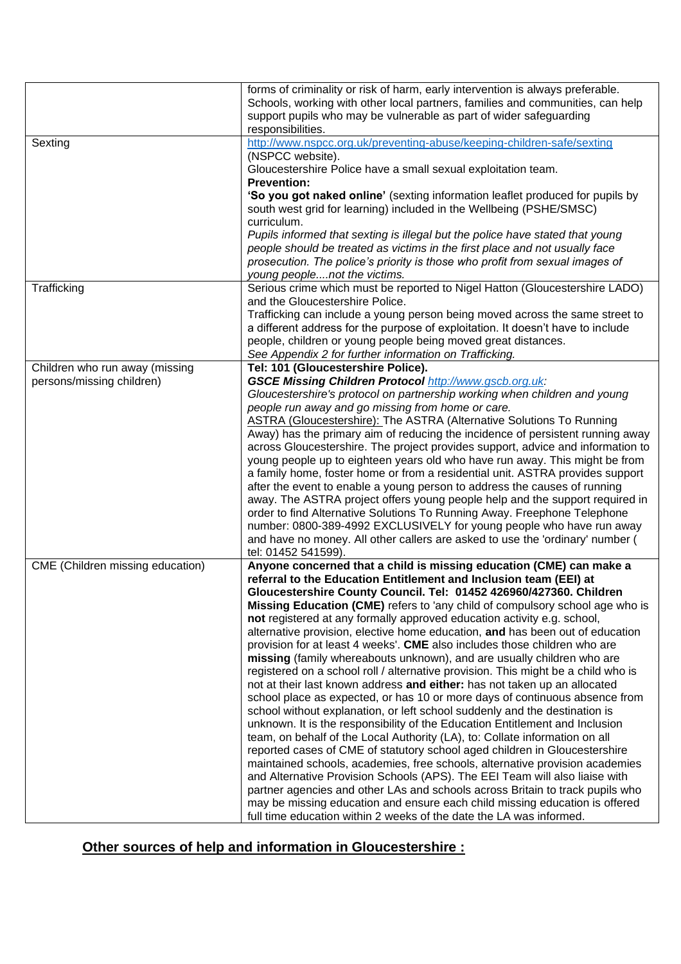|                                                             | forms of criminality or risk of harm, early intervention is always preferable.<br>Schools, working with other local partners, families and communities, can help<br>support pupils who may be vulnerable as part of wider safeguarding<br>responsibilities.                                 |
|-------------------------------------------------------------|---------------------------------------------------------------------------------------------------------------------------------------------------------------------------------------------------------------------------------------------------------------------------------------------|
| Sexting                                                     | http://www.nspcc.org.uk/preventing-abuse/keeping-children-safe/sexting<br>(NSPCC website).<br>Gloucestershire Police have a small sexual exploitation team.                                                                                                                                 |
|                                                             | <b>Prevention:</b><br>'So you got naked online' (sexting information leaflet produced for pupils by<br>south west grid for learning) included in the Wellbeing (PSHE/SMSC)                                                                                                                  |
|                                                             | curriculum.<br>Pupils informed that sexting is illegal but the police have stated that young<br>people should be treated as victims in the first place and not usually face<br>prosecution. The police's priority is those who profit from sexual images of<br>young peoplenot the victims. |
| Trafficking                                                 | Serious crime which must be reported to Nigel Hatton (Gloucestershire LADO)                                                                                                                                                                                                                 |
|                                                             | and the Gloucestershire Police.<br>Trafficking can include a young person being moved across the same street to<br>a different address for the purpose of exploitation. It doesn't have to include<br>people, children or young people being moved great distances.                         |
|                                                             | See Appendix 2 for further information on Trafficking.                                                                                                                                                                                                                                      |
| Children who run away (missing<br>persons/missing children) | Tel: 101 (Gloucestershire Police).<br><b>GSCE Missing Children Protocol http://www.gscb.org.uk:</b>                                                                                                                                                                                         |
|                                                             | Gloucestershire's protocol on partnership working when children and young                                                                                                                                                                                                                   |
|                                                             | people run away and go missing from home or care.                                                                                                                                                                                                                                           |
|                                                             | <b>ASTRA (Gloucestershire): The ASTRA (Alternative Solutions To Running</b>                                                                                                                                                                                                                 |
|                                                             | Away) has the primary aim of reducing the incidence of persistent running away                                                                                                                                                                                                              |
|                                                             | across Gloucestershire. The project provides support, advice and information to                                                                                                                                                                                                             |
|                                                             | young people up to eighteen years old who have run away. This might be from<br>a family home, foster home or from a residential unit. ASTRA provides support                                                                                                                                |
|                                                             | after the event to enable a young person to address the causes of running                                                                                                                                                                                                                   |
|                                                             | away. The ASTRA project offers young people help and the support required in                                                                                                                                                                                                                |
|                                                             | order to find Alternative Solutions To Running Away. Freephone Telephone                                                                                                                                                                                                                    |
|                                                             | number: 0800-389-4992 EXCLUSIVELY for young people who have run away                                                                                                                                                                                                                        |
|                                                             | and have no money. All other callers are asked to use the 'ordinary' number (                                                                                                                                                                                                               |
| CME (Children missing education)                            | tel: 01452 541599).<br>Anyone concerned that a child is missing education (CME) can make a                                                                                                                                                                                                  |
|                                                             | referral to the Education Entitlement and Inclusion team (EEI) at<br>Gloucestershire County Council. Tel: 01452 426960/427360. Children                                                                                                                                                     |
|                                                             | Missing Education (CME) refers to 'any child of compulsory school age who is                                                                                                                                                                                                                |
|                                                             | not registered at any formally approved education activity e.g. school,                                                                                                                                                                                                                     |
|                                                             | alternative provision, elective home education, and has been out of education                                                                                                                                                                                                               |
|                                                             | provision for at least 4 weeks'. CME also includes those children who are<br>missing (family whereabouts unknown), and are usually children who are                                                                                                                                         |
|                                                             | registered on a school roll / alternative provision. This might be a child who is                                                                                                                                                                                                           |
|                                                             | not at their last known address and either: has not taken up an allocated                                                                                                                                                                                                                   |
|                                                             | school place as expected, or has 10 or more days of continuous absence from                                                                                                                                                                                                                 |
|                                                             | school without explanation, or left school suddenly and the destination is                                                                                                                                                                                                                  |
|                                                             | unknown. It is the responsibility of the Education Entitlement and Inclusion                                                                                                                                                                                                                |
|                                                             | team, on behalf of the Local Authority (LA), to: Collate information on all<br>reported cases of CME of statutory school aged children in Gloucestershire                                                                                                                                   |
|                                                             | maintained schools, academies, free schools, alternative provision academies                                                                                                                                                                                                                |
|                                                             | and Alternative Provision Schools (APS). The EEI Team will also liaise with                                                                                                                                                                                                                 |
|                                                             | partner agencies and other LAs and schools across Britain to track pupils who                                                                                                                                                                                                               |
|                                                             | may be missing education and ensure each child missing education is offered                                                                                                                                                                                                                 |
|                                                             | full time education within 2 weeks of the date the LA was informed.                                                                                                                                                                                                                         |

## **Other sources of help and information in Gloucestershire :**